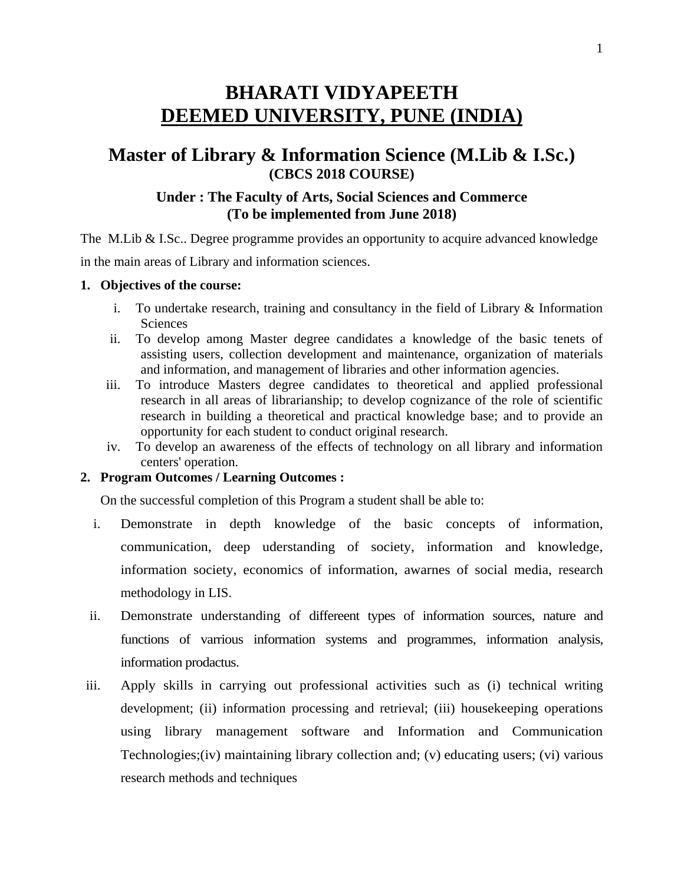# **BHARATI VIDYAPEETH DEEMED UNIVERSITY, PUNE (INDIA)**

## **Master of Library & Information Science (M.Lib & I.Sc.) (CBCS 2018 COURSE)**

## **Under : The Faculty of Arts, Social Sciences and Commerce (To be implemented from June 2018)**

The M.Lib & I.Sc.. Degree programme provides an opportunity to acquire advanced knowledge in the main areas of Library and information sciences.

#### **1. Objectives of the course:**

- i. To undertake research, training and consultancy in the field of Library & Information Sciences
- ii. To develop among Master degree candidates a knowledge of the basic tenets of assisting users, collection development and maintenance, organization of materials and information, and management of libraries and other information agencies.
- iii. To introduce Masters degree candidates to theoretical and applied professional research in all areas of librarianship; to develop cognizance of the role of scientific research in building a theoretical and practical knowledge base; and to provide an opportunity for each student to conduct original research.
- iv. To develop an awareness of the effects of technology on all library and information centers' operation.

### **2. Program Outcomes / Learning Outcomes :**

On the successful completion of this Program a student shall be able to:

- i. Demonstrate in depth knowledge of the basic concepts of information, communication, deep uderstanding of society, information and knowledge, information society, economics of information, awarnes of social media, research methodology in LIS.
- ii. Demonstrate understanding of differeent types of information sources, nature and functions of varrious information systems and programmes, information analysis, information prodactus.
- iii. Apply skills in carrying out professional activities such as (i) technical writing development; (ii) information processing and retrieval; (iii) housekeeping operations using library management software and Information and Communication Technologies;(iv) maintaining library collection and; (v) educating users; (vi) various research methods and techniques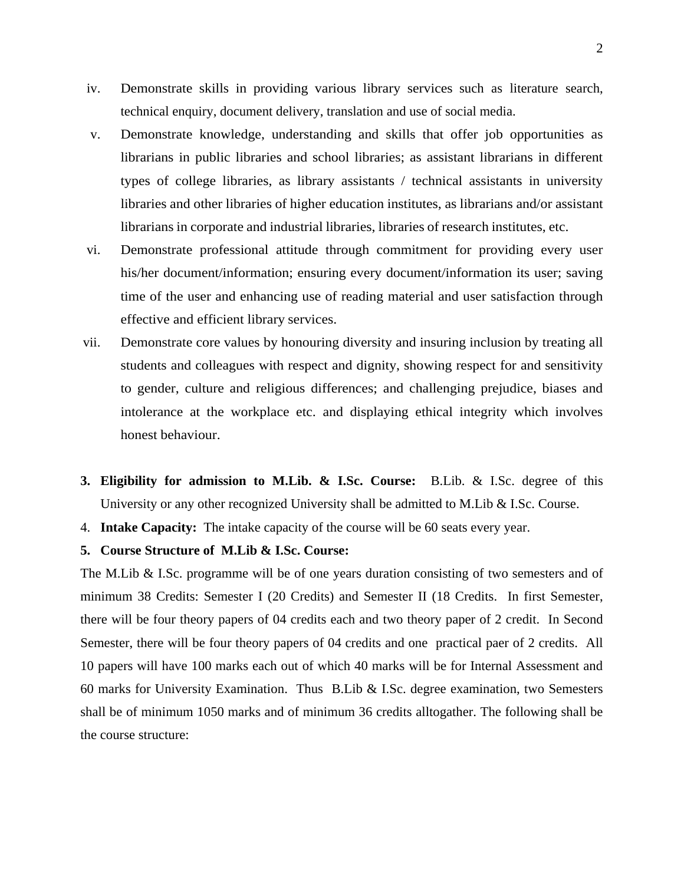- iv. Demonstrate skills in providing various library services such as literature search, technical enquiry, document delivery, translation and use of social media.
- v. Demonstrate knowledge, understanding and skills that offer job opportunities as librarians in public libraries and school libraries; as assistant librarians in different types of college libraries, as library assistants / technical assistants in university libraries and other libraries of higher education institutes, as librarians and/or assistant librarians in corporate and industrial libraries, libraries of research institutes, etc.
- vi. Demonstrate professional attitude through commitment for providing every user his/her document/information; ensuring every document/information its user; saving time of the user and enhancing use of reading material and user satisfaction through effective and efficient library services.
- vii. Demonstrate core values by honouring diversity and insuring inclusion by treating all students and colleagues with respect and dignity, showing respect for and sensitivity to gender, culture and religious differences; and challenging prejudice, biases and intolerance at the workplace etc. and displaying ethical integrity which involves honest behaviour.
- **3. Eligibility for admission to M.Lib. & I.Sc. Course:** B.Lib. & I.Sc. degree of this University or any other recognized University shall be admitted to M.Lib & I.Sc. Course.
- 4. **Intake Capacity:** The intake capacity of the course will be 60 seats every year.

#### **5. Course Structure of M.Lib & I.Sc. Course:**

The M.Lib & I.Sc. programme will be of one years duration consisting of two semesters and of minimum 38 Credits: Semester I (20 Credits) and Semester II (18 Credits. In first Semester, there will be four theory papers of 04 credits each and two theory paper of 2 credit. In Second Semester, there will be four theory papers of 04 credits and one practical paer of 2 credits. All 10 papers will have 100 marks each out of which 40 marks will be for Internal Assessment and 60 marks for University Examination. Thus B.Lib & I.Sc. degree examination, two Semesters shall be of minimum 1050 marks and of minimum 36 credits alltogather. The following shall be the course structure: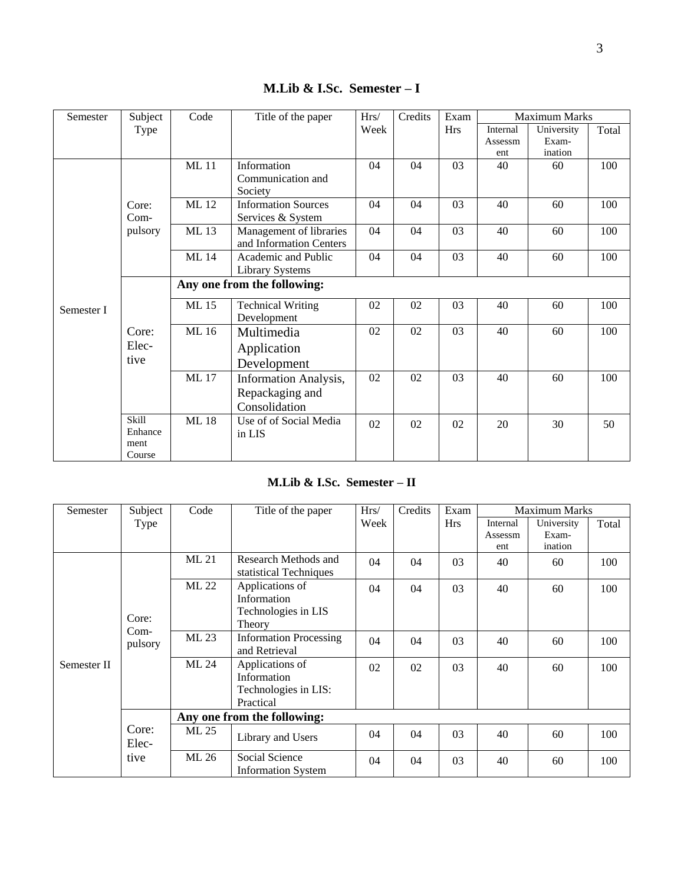| Semester   | Subject | Code<br>Title of the paper  |                            | $\rm Hrs/$ | Credits |            | <b>Maximum Marks</b> |            |       |  |  |
|------------|---------|-----------------------------|----------------------------|------------|---------|------------|----------------------|------------|-------|--|--|
|            | Type    |                             |                            | Week       |         | <b>Hrs</b> | Internal             | University | Total |  |  |
|            |         |                             |                            |            |         |            | Assessm              | Exam-      |       |  |  |
|            |         |                             |                            |            |         |            | ent                  | ination    |       |  |  |
|            |         | <b>ML11</b>                 | Information                | 04         | 04      | 03         | 40                   | 60         | 100   |  |  |
|            |         |                             | Communication and          |            |         |            |                      |            |       |  |  |
|            |         |                             | Society                    |            |         |            |                      |            |       |  |  |
|            | Core:   | ML 12                       | <b>Information Sources</b> | 04         | 04      | 03         | 40                   | 60         | 100   |  |  |
|            | $Com-$  |                             | Services & System          |            |         |            |                      |            |       |  |  |
|            | pulsory | ML 13                       | Management of libraries    | 04         | 04      | 03         | 40                   | 60         | 100   |  |  |
|            |         |                             | and Information Centers    |            |         |            |                      |            |       |  |  |
|            |         | <b>ML</b> 14                | Academic and Public        | 04         | 04      | 03         | 40                   | 60         | 100   |  |  |
|            |         |                             | <b>Library Systems</b>     |            |         |            |                      |            |       |  |  |
|            |         | Any one from the following: |                            |            |         |            |                      |            |       |  |  |
|            |         | ML 15                       | <b>Technical Writing</b>   | 02         | 02      | 03         | 40                   | 60         | 100   |  |  |
| Semester I |         |                             | Development                |            |         |            |                      |            |       |  |  |
|            | Core:   | ML 16                       | Multimedia                 | 02         | 02      | 03         | 40                   | 60         | 100   |  |  |
|            | Elec-   |                             |                            |            |         |            |                      |            |       |  |  |
|            |         |                             | Application                |            |         |            |                      |            |       |  |  |
|            | tive    |                             | Development                |            |         |            |                      |            |       |  |  |
|            |         | <b>ML17</b>                 | Information Analysis,      | 02         | 02      | 03         | 40                   | 60         | 100   |  |  |
|            |         |                             | Repackaging and            |            |         |            |                      |            |       |  |  |
|            |         |                             | Consolidation              |            |         |            |                      |            |       |  |  |
|            | Skill   | <b>ML18</b>                 | Use of of Social Media     |            |         |            |                      |            |       |  |  |
|            | Enhance |                             |                            | 02         | 02      | 02         | 20                   | 30         | 50    |  |  |
|            | ment    |                             | in LIS                     |            |         |            |                      |            |       |  |  |
|            | Course  |                             |                            |            |         |            |                      |            |       |  |  |

**M.Lib & I.Sc. Semester – I** 

## **M.Lib & I.Sc. Semester – II**

| Semester    | Subject                    | Code                        | Title of the paper                                                  | Hrs/ | Credits | Exam       | <b>Maximum Marks</b> |            |       |
|-------------|----------------------------|-----------------------------|---------------------------------------------------------------------|------|---------|------------|----------------------|------------|-------|
|             | Type                       |                             |                                                                     |      |         | <b>Hrs</b> | Internal             | University | Total |
|             |                            |                             |                                                                     |      |         |            | Assessm              | Exam-      |       |
|             |                            | ML 21                       | Research Methods and                                                |      |         |            | ent                  | ination    |       |
| Semester II |                            |                             | statistical Techniques                                              | 04   | 04      | 03         | 40                   | 60         | 100   |
|             |                            | ML 22                       | Applications of<br>Information                                      | 04   | 04      | 03         | 40                   | 60         | 100   |
|             | Core:<br>$Com-$<br>pulsory |                             | Technologies in LIS<br>Theory                                       |      |         |            |                      |            |       |
|             |                            | ML 23                       | <b>Information Processing</b><br>and Retrieval                      | 04   | 04      | 03         | 40                   | 60         | 100   |
|             |                            | ML 24                       | Applications of<br>Information<br>Technologies in LIS:<br>Practical | 02   | 02      | 03         | 40                   | 60         | 100   |
|             |                            | Any one from the following: |                                                                     |      |         |            |                      |            |       |
|             | Core:<br>ML 25<br>Elec-    |                             | Library and Users                                                   | 04   | 04      | 03         | 40                   | 60         | 100   |
|             | tive                       | ML 26                       | Social Science<br><b>Information System</b>                         | 04   | 04      | 03         | 40                   | 60         | 100   |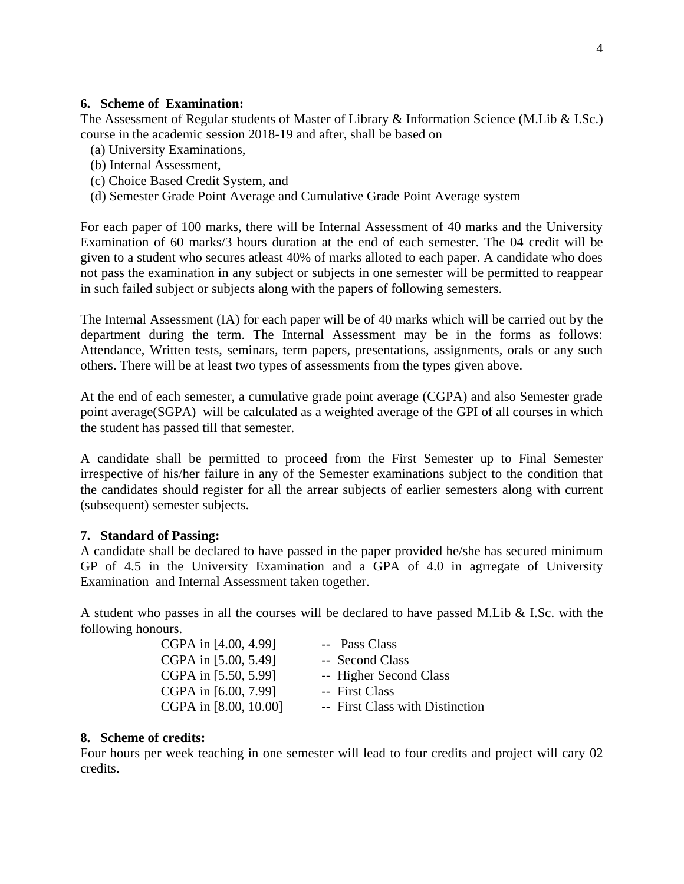#### **6. Scheme of Examination:**

The Assessment of Regular students of Master of Library & Information Science (M.Lib & I.Sc.) course in the academic session 2018-19 and after, shall be based on

- (a) University Examinations,
- (b) Internal Assessment,
- (c) Choice Based Credit System, and
- (d) Semester Grade Point Average and Cumulative Grade Point Average system

For each paper of 100 marks, there will be Internal Assessment of 40 marks and the University Examination of 60 marks/3 hours duration at the end of each semester. The 04 credit will be given to a student who secures atleast 40% of marks alloted to each paper. A candidate who does not pass the examination in any subject or subjects in one semester will be permitted to reappear in such failed subject or subjects along with the papers of following semesters.

The Internal Assessment (IA) for each paper will be of 40 marks which will be carried out by the department during the term. The Internal Assessment may be in the forms as follows: Attendance, Written tests, seminars, term papers, presentations, assignments, orals or any such others. There will be at least two types of assessments from the types given above.

At the end of each semester, a cumulative grade point average (CGPA) and also Semester grade point average(SGPA) will be calculated as a weighted average of the GPI of all courses in which the student has passed till that semester.

A candidate shall be permitted to proceed from the First Semester up to Final Semester irrespective of his/her failure in any of the Semester examinations subject to the condition that the candidates should register for all the arrear subjects of earlier semesters along with current (subsequent) semester subjects.

#### **7. Standard of Passing:**

A candidate shall be declared to have passed in the paper provided he/she has secured minimum GP of 4.5 in the University Examination and a GPA of 4.0 in agrregate of University Examination and Internal Assessment taken together.

A student who passes in all the courses will be declared to have passed M.Lib & I.Sc. with the following honours.

| CGPA in [4.00, 4.99]  | -- Pass Class                   |
|-----------------------|---------------------------------|
| CGPA in [5.00, 5.49]  | -- Second Class                 |
| CGPA in [5.50, 5.99]  | -- Higher Second Class          |
| CGPA in [6.00, 7.99]  | -- First Class                  |
| CGPA in [8.00, 10.00] | -- First Class with Distinction |

#### **8. Scheme of credits:**

Four hours per week teaching in one semester will lead to four credits and project will cary 02 credits.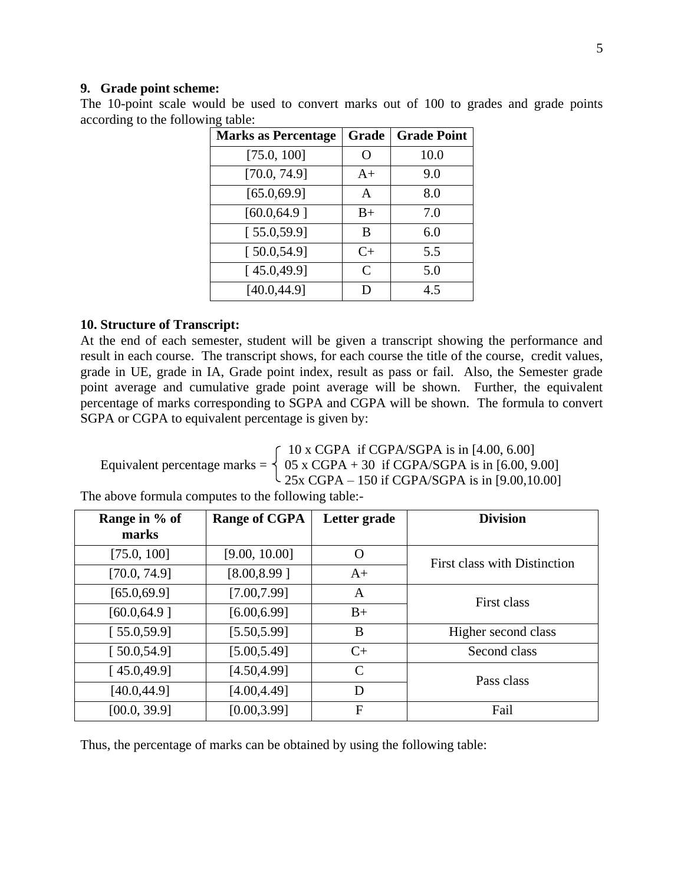#### **9. Grade point scheme:**

The 10-point scale would be used to convert marks out of 100 to grades and grade points according to the following table:

| <b>Marks as Percentage</b> | Grade         | <b>Grade Point</b> |
|----------------------------|---------------|--------------------|
| [75.0, 100]                | ∩             | 10.0               |
| [70.0, 74.9]               | $A+$          | 9.0                |
| [65.0, 69.9]               | A             | 8.0                |
| [60.0, 64.9]               | $B+$          | 7.0                |
| [55.0, 59.9]               | B             | 6.0                |
| [50.0, 54.9]               | $C+$          | 5.5                |
| [45.0, 49.9]               | $\mathcal{C}$ | 5.0                |
| [40.0, 44.9]               | D             | 4.5                |

#### **10. Structure of Transcript:**

At the end of each semester, student will be given a transcript showing the performance and result in each course. The transcript shows, for each course the title of the course, credit values, grade in UE, grade in IA, Grade point index, result as pass or fail. Also, the Semester grade point average and cumulative grade point average will be shown. Further, the equivalent percentage of marks corresponding to SGPA and CGPA will be shown. The formula to convert SGPA or CGPA to equivalent percentage is given by:

 $\int$  10 x CGPA if CGPA/SGPA is in [4.00, 6.00] Equivalent percentage marks =  $\begin{cases} 05 \times \text{CGPA} + 30 \text{ if CGPA/SGPA is in } [6.00, 9.00] \end{cases}$  $\frac{1}{25x}$  CGPA – 150 if CGPA/SGPA is in [9.00,10.00]

The above formula computes to the following table:-

| Range in % of<br>marks | <b>Range of CGPA</b> | Letter grade  | <b>Division</b>              |
|------------------------|----------------------|---------------|------------------------------|
|                        |                      |               |                              |
| [75.0, 100]            | [9.00, 10.00]        | $\rm{O}$      | First class with Distinction |
| [70.0, 74.9]           | [8.00, 8.99]         | $A+$          |                              |
| [65.0, 69.9]           | [7.00, 7.99]         | A             | First class                  |
| [60.0, 64.9]           | [6.00, 6.99]         | $B+$          |                              |
| [55.0, 59.9]           | [5.50, 5.99]         | B             | Higher second class          |
| [50.0, 54.9]           | [5.00, 5.49]         | $C+$          | Second class                 |
| [45.0, 49.9]           | [4.50, 4.99]         | $\mathcal{C}$ | Pass class                   |
| [40.0, 44.9]           | [4.00, 4.49]         | D             |                              |
| [00.0, 39.9]           | [0.00, 3.99]         | F             | Fail                         |

Thus, the percentage of marks can be obtained by using the following table: